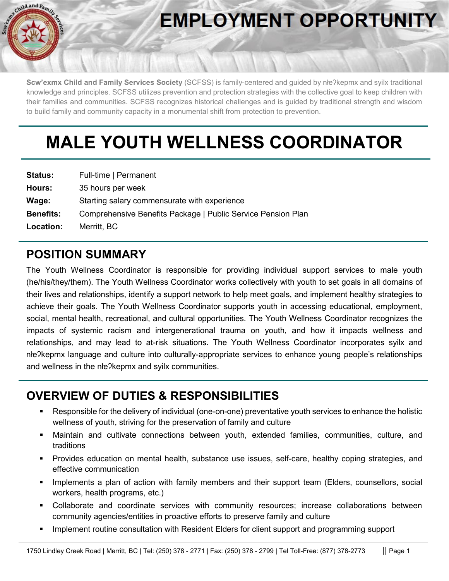

# **EMPLOYMENT OPPORTUNITY**

**Scw'exmx Child and Family Services Society** (SCFSS) is family-centered and guided by nłeʔkepmx and syilx traditional knowledge and principles. SCFSS utilizes prevention and protection strategies with the collective goal to keep children with their families and communities. SCFSS recognizes historical challenges and is guided by traditional strength and wisdom to build family and community capacity in a monumental shift from protection to prevention.

# **MALE YOUTH WELLNESS COORDINATOR**

| <b>Status:</b>   | Full-time   Permanent                                        |
|------------------|--------------------------------------------------------------|
| Hours:           | 35 hours per week                                            |
| Wage:            | Starting salary commensurate with experience                 |
| <b>Benefits:</b> | Comprehensive Benefits Package   Public Service Pension Plan |
| <b>Location:</b> | Merritt, BC                                                  |

## **POSITION SUMMARY**

The Youth Wellness Coordinator is responsible for providing individual support services to male youth (he/his/they/them). The Youth Wellness Coordinator works collectively with youth to set goals in all domains of their lives and relationships, identify a support network to help meet goals, and implement healthy strategies to achieve their goals. The Youth Wellness Coordinator supports youth in accessing educational, employment, social, mental health, recreational, and cultural opportunities. The Youth Wellness Coordinator recognizes the impacts of systemic racism and intergenerational trauma on youth, and how it impacts wellness and relationships, and may lead to at-risk situations. The Youth Wellness Coordinator incorporates syilx and nłeʔkepmx language and culture into culturally-appropriate services to enhance young people's relationships and wellness in the nłeʔkepmx and syilx communities.

## **OVERVIEW OF DUTIES & RESPONSIBILITIES**

- Responsible for the delivery of individual (one-on-one) preventative youth services to enhance the holistic wellness of youth, striving for the preservation of family and culture
- Maintain and cultivate connections between youth, extended families, communities, culture, and traditions
- Provides education on mental health, substance use issues, self-care, healthy coping strategies, and effective communication
- Implements a plan of action with family members and their support team (Elders, counsellors, social workers, health programs, etc.)
- Collaborate and coordinate services with community resources; increase collaborations between community agencies/entities in proactive efforts to preserve family and culture
- Implement routine consultation with Resident Elders for client support and programming support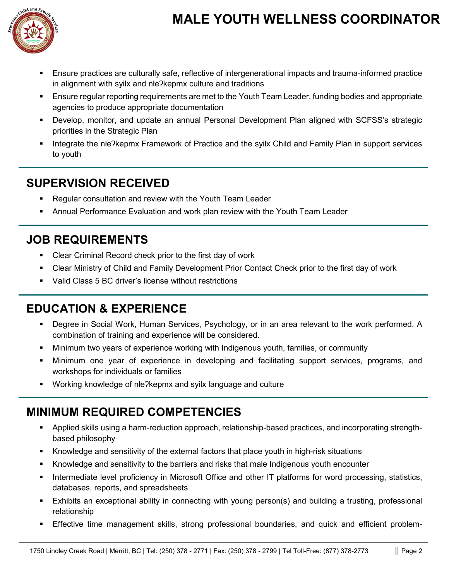

# **MALE YOUTH WELLNESS COORDINATOR**

- Ensure practices are culturally safe, reflective of intergenerational impacts and trauma-informed practice in alignment with syilx and nłeʔkepmx culture and traditions
- **Ensure regular reporting requirements are met to the Youth Team Leader, funding bodies and appropriate** agencies to produce appropriate documentation
- Develop, monitor, and update an annual Personal Development Plan aligned with SCFSS's strategic priorities in the Strategic Plan
- Integrate the nłeʔkepmx Framework of Practice and the syilx Child and Family Plan in support services to youth

#### **SUPERVISION RECEIVED**

- Regular consultation and review with the Youth Team Leader
- Annual Performance Evaluation and work plan review with the Youth Team Leader

### **JOB REQUIREMENTS**

- Clear Criminal Record check prior to the first day of work
- Clear Ministry of Child and Family Development Prior Contact Check prior to the first day of work
- Valid Class 5 BC driver's license without restrictions

#### **EDUCATION & EXPERIENCE**

- Degree in Social Work, Human Services, Psychology, or in an area relevant to the work performed. A combination of training and experience will be considered.
- Minimum two years of experience working with Indigenous youth, families, or community
- Minimum one year of experience in developing and facilitating support services, programs, and workshops for individuals or families
- Working knowledge of nłe?kepmx and syilx language and culture

#### **MINIMUM REQUIRED COMPETENCIES**

- Applied skills using a harm-reduction approach, relationship-based practices, and incorporating strengthbased philosophy
- Knowledge and sensitivity of the external factors that place youth in high-risk situations
- Knowledge and sensitivity to the barriers and risks that male Indigenous youth encounter
- Intermediate level proficiency in Microsoft Office and other IT platforms for word processing, statistics, databases, reports, and spreadsheets
- Exhibits an exceptional ability in connecting with young person(s) and building a trusting, professional relationship
- Effective time management skills, strong professional boundaries, and quick and efficient problem-